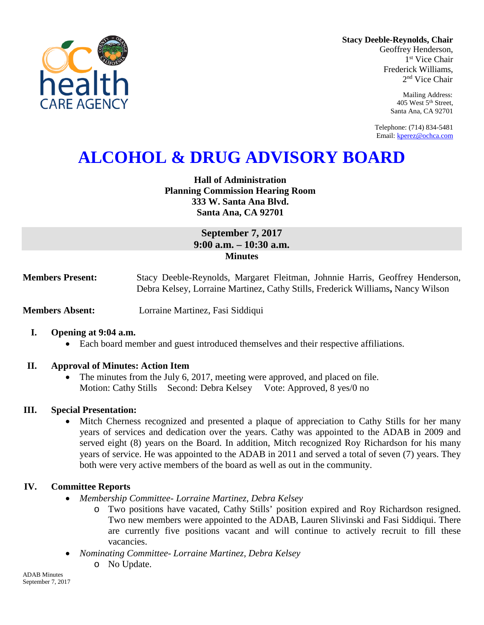

**Stacy Deeble-Reynolds, Chair** Geoffrey Henderson,

1<sup>st</sup> Vice Chair Frederick Williams, 2nd Vice Chair

> Mailing Address: 405 West 5th Street, Santa Ana, CA 92701

Telephone: (714) 834-5481 Email[: kperez@ochca.com](mailto:kperez@ochca.com)

# **ALCOHOL & DRUG ADVISORY BOARD**

**Hall of Administration Planning Commission Hearing Room 333 W. Santa Ana Blvd. Santa Ana, CA 92701** 

# **September 7, 2017 9:00 a.m. – 10:30 a.m. Minutes**

**Members Present:** Stacy Deeble-Reynolds, Margaret Fleitman, Johnnie Harris, Geoffrey Henderson, Debra Kelsey, Lorraine Martinez, Cathy Stills, Frederick Williams**,** Nancy Wilson

**Members Absent:** Lorraine Martinez, Fasi Siddiqui

#### **I. Opening at 9:04 a.m.**

• Each board member and guest introduced themselves and their respective affiliations.

#### **II. Approval of Minutes: Action Item**

• The minutes from the July 6, 2017, meeting were approved, and placed on file. Motion: Cathy Stills Second: Debra Kelsey Vote: Approved, 8 yes/0 no

#### **III. Special Presentation:**

• Mitch Cherness recognized and presented a plaque of appreciation to Cathy Stills for her many years of services and dedication over the years. Cathy was appointed to the ADAB in 2009 and served eight (8) years on the Board. In addition, Mitch recognized Roy Richardson for his many years of service. He was appointed to the ADAB in 2011 and served a total of seven (7) years. They both were very active members of the board as well as out in the community.

## **IV. Committee Reports**

- *Membership Committee- Lorraine Martinez, Debra Kelsey* 
	- o Two positions have vacated, Cathy Stills' position expired and Roy Richardson resigned. Two new members were appointed to the ADAB, Lauren Slivinski and Fasi Siddiqui. There are currently five positions vacant and will continue to actively recruit to fill these vacancies.
- *Nominating Committee- Lorraine Martinez, Debra Kelsey*
	- o No Update.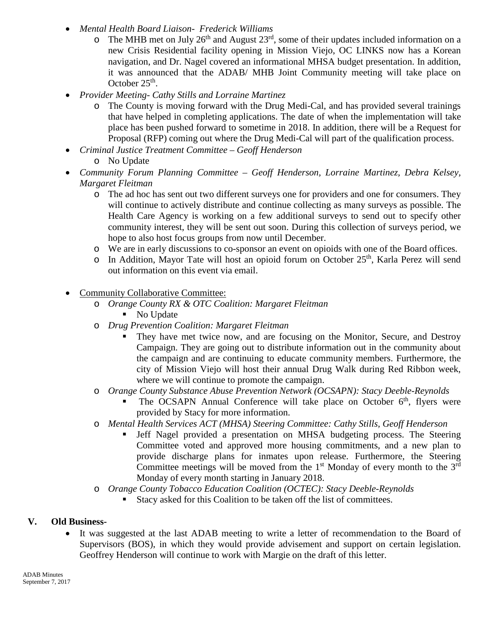- *Mental Health Board Liaison- Frederick Williams*
	- $\circ$  The MHB met on July 26<sup>th</sup> and August 23<sup>rd</sup>, some of their updates included information on a new Crisis Residential facility opening in Mission Viejo, OC LINKS now has a Korean navigation, and Dr. Nagel covered an informational MHSA budget presentation. In addition, it was announced that the ADAB/ MHB Joint Community meeting will take place on October  $25<sup>th</sup>$ .
- *Provider Meeting- Cathy Stills and Lorraine Martinez*
	- o The County is moving forward with the Drug Medi-Cal, and has provided several trainings that have helped in completing applications. The date of when the implementation will take place has been pushed forward to sometime in 2018. In addition, there will be a Request for Proposal (RFP) coming out where the Drug Medi-Cal will part of the qualification process.
- *Criminal Justice Treatment Committee – Geoff Henderson*
	- o No Update
- *Community Forum Planning Committee – Geoff Henderson, Lorraine Martinez, Debra Kelsey, Margaret Fleitman*
	- o The ad hoc has sent out two different surveys one for providers and one for consumers. They will continue to actively distribute and continue collecting as many surveys as possible. The Health Care Agency is working on a few additional surveys to send out to specify other community interest, they will be sent out soon. During this collection of surveys period, we hope to also host focus groups from now until December.
	- o We are in early discussions to co-sponsor an event on opioids with one of the Board offices.
	- $\circ$  In Addition, Mayor Tate will host an opioid forum on October 25<sup>th</sup>, Karla Perez will send out information on this event via email.
- Community Collaborative Committee:
	- o *Orange County RX & OTC Coalition: Margaret Fleitman*
		- No Update
	- o *Drug Prevention Coalition: Margaret Fleitman*
		- They have met twice now, and are focusing on the Monitor, Secure, and Destroy Campaign. They are going out to distribute information out in the community about the campaign and are continuing to educate community members. Furthermore, the city of Mission Viejo will host their annual Drug Walk during Red Ribbon week, where we will continue to promote the campaign.
	- o *Orange County Substance Abuse Prevention Network (OCSAPN): Stacy Deeble-Reynolds*
		- The OCSAPN Annual Conference will take place on October  $6<sup>th</sup>$ , flyers were provided by Stacy for more information.
	- o *Mental Health Services ACT (MHSA) Steering Committee: Cathy Stills, Geoff Henderson*
		- Jeff Nagel provided a presentation on MHSA budgeting process. The Steering Committee voted and approved more housing commitments, and a new plan to provide discharge plans for inmates upon release. Furthermore, the Steering Committee meetings will be moved from the  $1<sup>st</sup>$  Monday of every month to the  $3<sup>rd</sup>$ Monday of every month starting in January 2018.
	- o *Orange County Tobacco Education Coalition (OCTEC): Stacy Deeble-Reynolds*
		- Stacy asked for this Coalition to be taken off the list of committees.

## **V. Old Business-**

It was suggested at the last ADAB meeting to write a letter of recommendation to the Board of Supervisors (BOS), in which they would provide advisement and support on certain legislation. Geoffrey Henderson will continue to work with Margie on the draft of this letter.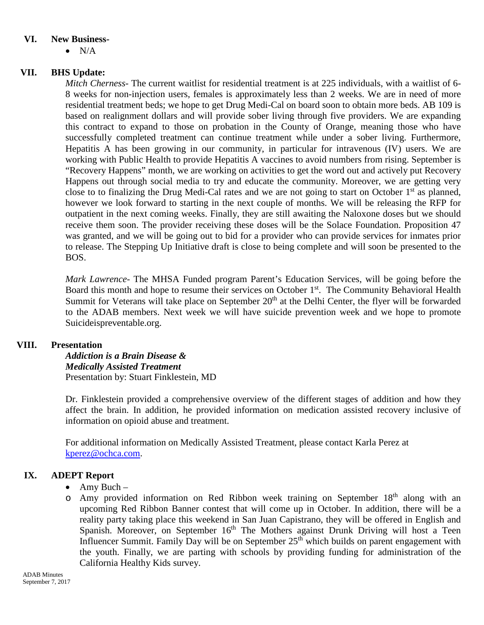#### **VI. New Business-**

 $\bullet$  N/A

## **VII. BHS Update:**

*Mitch Cherness-* The current waitlist for residential treatment is at 225 individuals, with a waitlist of 6- 8 weeks for non-injection users, females is approximately less than 2 weeks. We are in need of more residential treatment beds; we hope to get Drug Medi-Cal on board soon to obtain more beds. AB 109 is based on realignment dollars and will provide sober living through five providers. We are expanding this contract to expand to those on probation in the County of Orange, meaning those who have successfully completed treatment can continue treatment while under a sober living. Furthermore, Hepatitis A has been growing in our community, in particular for intravenous (IV) users. We are working with Public Health to provide Hepatitis A vaccines to avoid numbers from rising. September is "Recovery Happens" month, we are working on activities to get the word out and actively put Recovery Happens out through social media to try and educate the community. Moreover, we are getting very close to to finalizing the Drug Medi-Cal rates and we are not going to start on October  $1<sup>st</sup>$  as planned, however we look forward to starting in the next couple of months. We will be releasing the RFP for outpatient in the next coming weeks. Finally, they are still awaiting the Naloxone doses but we should receive them soon. The provider receiving these doses will be the Solace Foundation. Proposition 47 was granted, and we will be going out to bid for a provider who can provide services for inmates prior to release. The Stepping Up Initiative draft is close to being complete and will soon be presented to the BOS.

*Mark Lawrence*- The MHSA Funded program Parent's Education Services, will be going before the Board this month and hope to resume their services on October 1<sup>st</sup>. The Community Behavioral Health Summit for Veterans will take place on September 20<sup>th</sup> at the Delhi Center, the flyer will be forwarded to the ADAB members. Next week we will have suicide prevention week and we hope to promote Suicideispreventable.org.

## **VIII. Presentation**

*Addiction is a Brain Disease & Medically Assisted Treatment* Presentation by: Stuart Finklestein, MD

Dr. Finklestein provided a comprehensive overview of the different stages of addition and how they affect the brain. In addition, he provided information on medication assisted recovery inclusive of information on opioid abuse and treatment.

For additional information on Medically Assisted Treatment, please contact Karla Perez at [kperez@ochca.com.](mailto:kperez@ochca.com)

# **IX. ADEPT Report**

- Amy Buch –
- o Amy provided information on Red Ribbon week training on September 18th along with an upcoming Red Ribbon Banner contest that will come up in October. In addition, there will be a reality party taking place this weekend in San Juan Capistrano, they will be offered in English and Spanish. Moreover, on September  $16<sup>th</sup>$  The Mothers against Drunk Driving will host a Teen Influencer Summit. Family Day will be on September  $25<sup>th</sup>$  which builds on parent engagement with the youth. Finally, we are parting with schools by providing funding for administration of the California Healthy Kids survey.